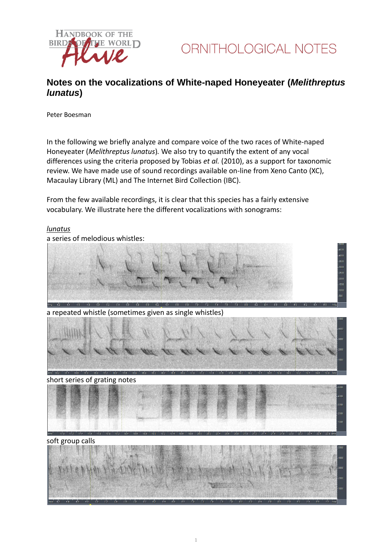



## **Notes on the vocalizations of White-naped Honeyeater (***Melithreptus lunatus***)**

Peter Boesman

In the following we briefly analyze and compare voice of the two races of White-naped Honeyeater (*Melithreptus lunatus*)*.* We also try to quantify the extent of any vocal differences using the criteria proposed by Tobias *et al.* (2010), as a support for taxonomic review. We have made use of sound recordings available on-line from Xeno Canto (XC), Macaulay Library (ML) and The Internet Bird Collection (IBC).

From the few available recordings, it is clear that this species has a fairly extensive vocabulary. We illustrate here the different vocalizations with sonograms:

*lunatus* a series of melodious whistles:



a repeated whistle (sometimes given as single whistles)



#### short series of grating notes



soft group calls

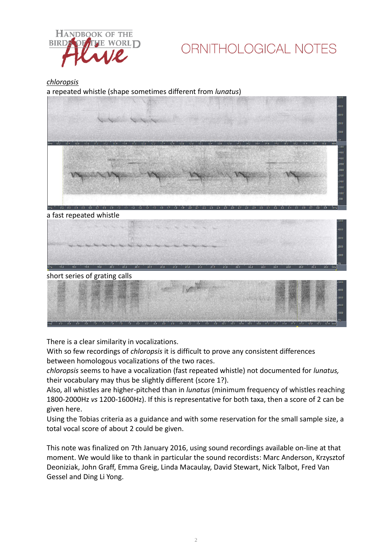

# ORNITHOLOGICAL NOTES

*chloropsis* a repeated whistle (shape sometimes different from *lunatus*)





short series of grating calls

| hms. | 6.2<br>6.4 | $66^{\circ}$<br>6.8 | $70-$ | . 72 74 718 728 810 82 84 818 818 810 82 84 86 88 100 102 104 108 108 110 112 114 116 118 120 122 124 nms |  |  |  |  |  |  |  |  |  |  |                |
|------|------------|---------------------|-------|-----------------------------------------------------------------------------------------------------------|--|--|--|--|--|--|--|--|--|--|----------------|
|      |            |                     |       |                                                                                                           |  |  |  |  |  |  |  |  |  |  | H <sub>7</sub> |
|      |            |                     |       |                                                                                                           |  |  |  |  |  |  |  |  |  |  | 1000           |
|      |            |                     |       |                                                                                                           |  |  |  |  |  |  |  |  |  |  |                |
|      |            |                     |       |                                                                                                           |  |  |  |  |  |  |  |  |  |  | $-2000$        |
|      |            |                     |       |                                                                                                           |  |  |  |  |  |  |  |  |  |  | 3000           |
|      |            |                     |       |                                                                                                           |  |  |  |  |  |  |  |  |  |  |                |
|      |            |                     |       |                                                                                                           |  |  |  |  |  |  |  |  |  |  | 4000           |
|      |            |                     |       |                                                                                                           |  |  |  |  |  |  |  |  |  |  | $-5000$        |

There is a clear similarity in vocalizations.

With so few recordings of *chloropsis* it is difficult to prove any consistent differences between homologous vocalizations of the two races.

*chloropsis* seems to have a vocalization (fast repeated whistle) not documented for *lunatus,*  their vocabulary may thus be slightly different (score 1?).

Also, all whistles are higher-pitched than in *lunatus* (minimum frequency of whistles reaching 1800-2000Hz *vs* 1200-1600Hz). If this is representative for both taxa, then a score of 2 can be given here.

Using the Tobias criteria as a guidance and with some reservation for the small sample size, a total vocal score of about 2 could be given.

This note was finalized on 7th January 2016, using sound recordings available on-line at that moment. We would like to thank in particular the sound recordists: Marc Anderson, Krzysztof Deoniziak, John Graff, Emma Greig, Linda Macaulay, David Stewart, Nick Talbot, Fred Van Gessel and Ding Li Yong.